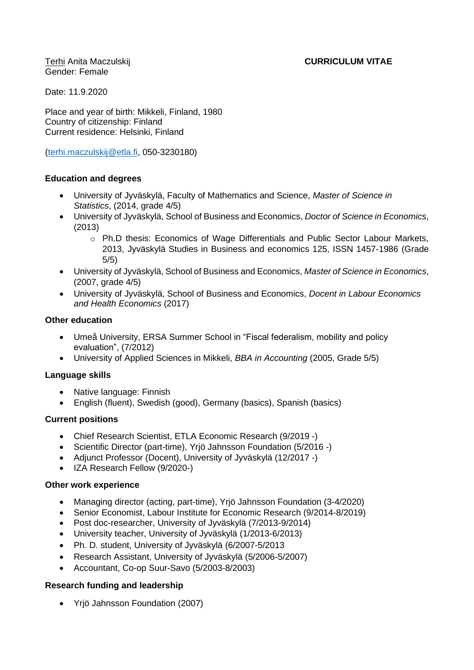# Terhi Anita Maczulskij **CURRICULUM VITAE**

Gender: Female

Date: 11.9.2020

Place and year of birth: Mikkeli, Finland, 1980 Country of citizenship: Finland Current residence: Helsinki, Finland

[\(terhi.maczulskij@etla.fi,](mailto:terhi.maczulskij@etla.fi) 050-3230180)

## **Education and degrees**

- University of Jyväskylä, Faculty of Mathematics and Science, *Master of Science in Statistics*, (2014, grade 4/5)
- University of Jyväskylä, School of Business and Economics, *Doctor of Science in Economics*, (2013)
	- o Ph.D thesis: Economics of Wage Differentials and Public Sector Labour Markets, 2013, Jyväskylä Studies in Business and economics 125, ISSN 1457-1986 (Grade 5/5)
- University of Jyväskylä, School of Business and Economics, *Master of Science in Economics*, (2007, grade 4/5)
- University of Jyväskylä, School of Business and Economics, *Docent in Labour Economics and Health Economics* (2017)

## **Other education**

- Umeå University, ERSA Summer School in "Fiscal federalism, mobility and policy evaluation", (7/2012)
- University of Applied Sciences in Mikkeli, *BBA in Accounting* (2005, Grade 5/5)

# **Language skills**

- Native language: Finnish
- English (fluent), Swedish (good), Germany (basics), Spanish (basics)

### **Current positions**

- Chief Research Scientist, ETLA Economic Research (9/2019 -)
- Scientific Director (part-time), Yrjö Jahnsson Foundation (5/2016 -)
- Adjunct Professor (Docent), University of Jyväskylä (12/2017 -)
- IZA Research Fellow (9/2020-)

### **Other work experience**

- Managing director (acting, part-time), Yrjö Jahnsson Foundation (3-4/2020)
- Senior Economist, Labour Institute for Economic Research (9/2014-8/2019)
- Post doc-researcher, University of Jyväskylä (7/2013-9/2014)
- University teacher, University of Jyväskylä (1/2013-6/2013)
- Ph. D. student, University of Jyväskylä (6/2007-5/2013
- Research Assistant, University of Jyväskylä (5/2006-5/2007)
- Accountant, Co-op Suur-Savo (5/2003-8/2003)

### **Research funding and leadership**

• Yrjö Jahnsson Foundation (2007)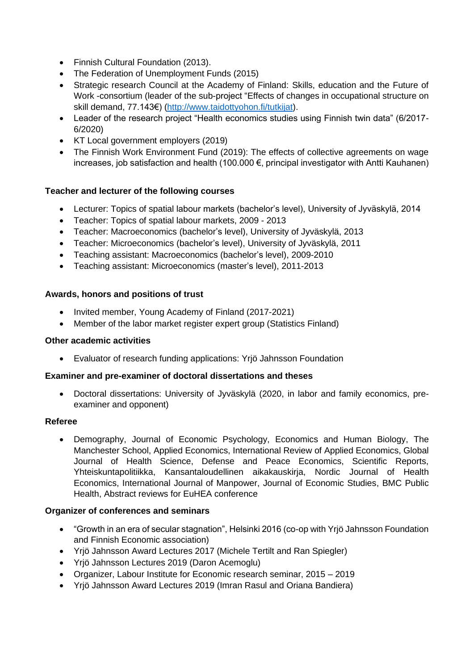- Finnish Cultural Foundation (2013).
- The Federation of Unemployment Funds (2015)
- Strategic research Council at the Academy of Finland: Skills, education and the Future of Work -consortium (leader of the sub-project "Effects of changes in occupational structure on skill demand, 77.143€) [\(http://www.taidottyohon.fi/tutkijat\)](http://www.taidottyohon.fi/tutkijat).
- Leader of the research project "Health economics studies using Finnish twin data" (6/2017-6/2020)
- KT Local government employers (2019)
- The Finnish Work Environment Fund (2019): The effects of collective agreements on wage increases, job satisfaction and health (100.000 €, principal investigator with Antti Kauhanen)

# **Teacher and lecturer of the following courses**

- Lecturer: Topics of spatial labour markets (bachelor's level), University of Jyväskylä, 2014
- Teacher: Topics of spatial labour markets, 2009 2013
- Teacher: Macroeconomics (bachelor's level), University of Jyväskylä, 2013
- Teacher: Microeconomics (bachelor's level), University of Jyväskylä, 2011
- Teaching assistant: Macroeconomics (bachelor's level), 2009-2010
- Teaching assistant: Microeconomics (master's level), 2011-2013

## **Awards, honors and positions of trust**

- Invited member, Young Academy of Finland (2017-2021)
- Member of the labor market register expert group (Statistics Finland)

### **Other academic activities**

• Evaluator of research funding applications: Yrjö Jahnsson Foundation

### **Examiner and pre-examiner of doctoral dissertations and theses**

• Doctoral dissertations: University of Jyväskylä (2020, in labor and family economics, preexaminer and opponent)

### **Referee**

• Demography, Journal of Economic Psychology, Economics and Human Biology, The Manchester School, Applied Economics, International Review of Applied Economics, Global Journal of Health Science, Defense and Peace Economics, Scientific Reports, Yhteiskuntapolitiikka, Kansantaloudellinen aikakauskirja, Nordic Journal of Health Economics, International Journal of Manpower, Journal of Economic Studies, BMC Public Health, Abstract reviews for EuHEA conference

### **Organizer of conferences and seminars**

- "Growth in an era of secular stagnation", Helsinki 2016 (co-op with Yrjö Jahnsson Foundation and Finnish Economic association)
- Yrjö Jahnsson Award Lectures 2017 (Michele Tertilt and Ran Spiegler)
- Yrjö Jahnsson Lectures 2019 (Daron Acemoglu)
- Organizer, Labour Institute for Economic research seminar, 2015 2019
- Yrjö Jahnsson Award Lectures 2019 (Imran Rasul and Oriana Bandiera)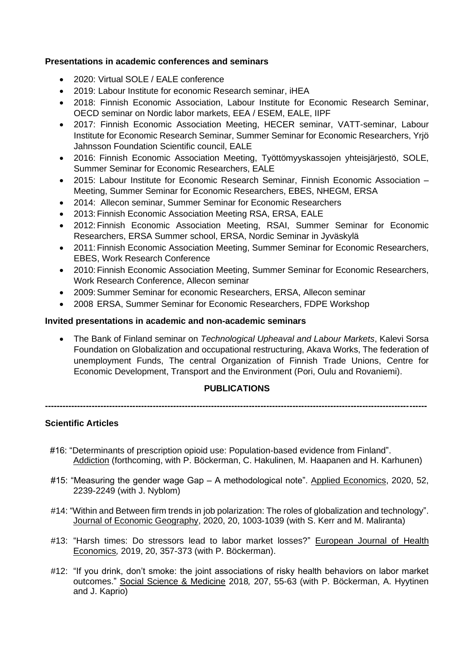### **Presentations in academic conferences and seminars**

- 2020: Virtual SOLE / EALE conference
- 2019: Labour Institute for economic Research seminar, iHEA
- 2018: Finnish Economic Association, Labour Institute for Economic Research Seminar, OECD seminar on Nordic labor markets, EEA / ESEM, EALE, IIPF
- 2017: Finnish Economic Association Meeting, HECER seminar, VATT-seminar, Labour Institute for Economic Research Seminar, Summer Seminar for Economic Researchers, Yrjö Jahnsson Foundation Scientific council, EALE
- 2016: Finnish Economic Association Meeting, Työttömyyskassojen yhteisjärjestö, SOLE, Summer Seminar for Economic Researchers, EALE
- 2015: Labour Institute for Economic Research Seminar, Finnish Economic Association Meeting, Summer Seminar for Economic Researchers, EBES, NHEGM, ERSA
- 2014: Allecon seminar, Summer Seminar for Economic Researchers
- 2013:Finnish Economic Association Meeting RSA, ERSA, EALE
- 2012:Finnish Economic Association Meeting, RSAI, Summer Seminar for Economic Researchers, ERSA Summer school, ERSA, Nordic Seminar in Jyväskylä
- 2011:Finnish Economic Association Meeting, Summer Seminar for Economic Researchers, EBES, Work Research Conference
- 2010:Finnish Economic Association Meeting, Summer Seminar for Economic Researchers, Work Research Conference, Allecon seminar
- 2009: Summer Seminar for economic Researchers, ERSA, Allecon seminar
- 2008 ERSA, Summer Seminar for Economic Researchers, FDPE Workshop

### **Invited presentations in academic and non-academic seminars**

• The Bank of Finland seminar on *Technological Upheaval and Labour Markets*, Kalevi Sorsa Foundation on Globalization and occupational restructuring, Akava Works, The federation of unemployment Funds, The central Organization of Finnish Trade Unions, Centre for Economic Development, Transport and the Environment (Pori, Oulu and Rovaniemi).

### **PUBLICATIONS**

**-----------------------------------------------------------------------------------------------------------------------------------**

# **Scientific Articles**

- #16: "Determinants of prescription opioid use: Population-based evidence from Finland". Addiction (forthcoming, with P. Böckerman, C. Hakulinen, M. Haapanen and H. Karhunen)
- #15: "Measuring the gender wage Gap A methodological note". Applied Economics, 2020, 52, 2239-2249 (with J. Nyblom)
- #14: "Within and Between firm trends in job polarization: The roles of globalization and technology". Journal of Economic Geography, 2020, 20, 1003-1039 (with S. Kerr and M. Maliranta)
- #13: "Harsh times: Do stressors lead to labor market losses?" European Journal of Health Economics*,* 2019, 20, 357-373 (with P. Böckerman).
- #12: "If you drink, don't smoke: the joint associations of risky health behaviors on labor market outcomes." Social Science & Medicine 2018*,* 207, 55-63 (with P. Böckerman, A. Hyytinen and J. Kaprio)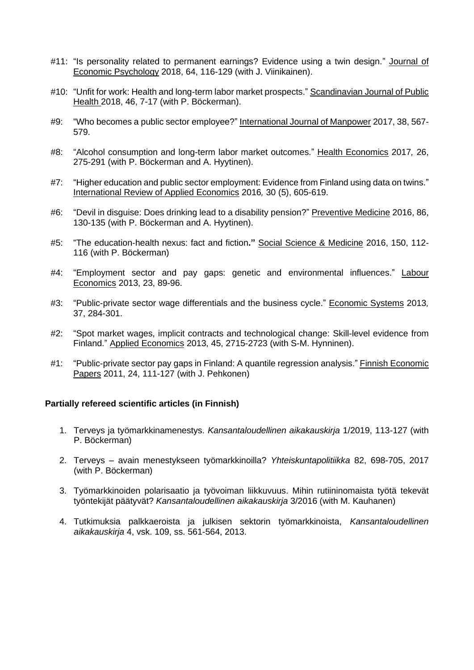- #11: "Is personality related to permanent earnings? Evidence using a twin design." Journal of Economic Psychology 2018, 64, 116-129 (with J. Viinikainen).
- #10: "Unfit for work: Health and long-term labor market prospects." Scandinavian Journal of Public Health 2018, 46, 7-17 (with P. Böckerman).
- #9: "Who becomes a public sector employee?" International Journal of Manpower 2017, 38, 567- 579.
- #8: "Alcohol consumption and long-term labor market outcomes." Health Economics 2017*,* 26, 275-291 (with P. Böckerman and A. Hyytinen).
- #7: "Higher education and public sector employment: Evidence from Finland using data on twins." International Review of Applied Economics 2016*,* 30 (5), 605-619.
- #6: "Devil in disguise: Does drinking lead to a disability pension?" Preventive Medicine 2016, 86, 130-135 (with P. Böckerman and A. Hyytinen).
- #5: "The education-health nexus: fact and fiction**."** Social Science & Medicine 2016, 150, 112- 116 (with P. Böckerman)
- #4: "Employment sector and pay gaps: genetic and environmental influences." Labour Economics 2013, 23, 89-96.
- #3: "Public-private sector wage differentials and the business cycle." Economic Systems 2013*,*  37, 284-301.
- #2: "Spot market wages, implicit contracts and technological change: Skill-level evidence from Finland." Applied Economics 2013, 45, 2715-2723 (with S-M. Hynninen).
- #1: "Public-private sector pay gaps in Finland: A quantile regression analysis." Finnish Economic Papers 2011, 24, 111-127 (with J. Pehkonen)

### **Partially refereed scientific articles (in Finnish)**

- 1. Terveys ja työmarkkinamenestys. *Kansantaloudellinen aikakauskirja* 1/2019, 113-127 (with P. Böckerman)
- 2. Terveys avain menestykseen työmarkkinoilla? *Yhteiskuntapolitiikka* 82, 698-705, 2017 (with P. Böckerman)
- 3. Työmarkkinoiden polarisaatio ja työvoiman liikkuvuus. Mihin rutiininomaista työtä tekevät työntekijät päätyvät? *Kansantaloudellinen aikakauskirja* 3/2016 (with M. Kauhanen)
- 4. Tutkimuksia palkkaeroista ja julkisen sektorin työmarkkinoista, *Kansantaloudellinen aikakauskirja* 4, vsk. 109, ss. 561-564, 2013.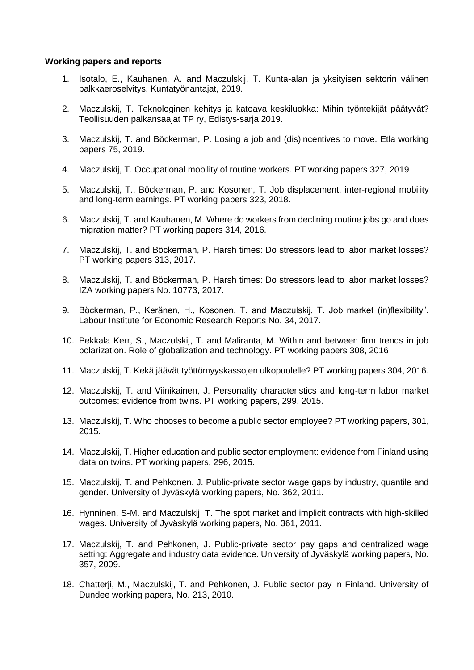#### **Working papers and reports**

- 1. Isotalo, E., Kauhanen, A. and Maczulskij, T. Kunta-alan ja yksityisen sektorin välinen palkkaeroselvitys. Kuntatyönantajat, 2019.
- 2. Maczulskij, T. Teknologinen kehitys ja katoava keskiluokka: Mihin työntekijät päätyvät? Teollisuuden palkansaajat TP ry, Edistys-sarja 2019.
- 3. Maczulskij, T. and Böckerman, P. Losing a job and (dis)incentives to move. Etla working papers 75, 2019.
- 4. Maczulskij, T. Occupational mobility of routine workers. PT working papers 327, 2019
- 5. Maczulskij, T., Böckerman, P. and Kosonen, T. Job displacement, inter-regional mobility and long-term earnings. PT working papers 323, 2018.
- 6. Maczulskij, T. and Kauhanen, M. Where do workers from declining routine jobs go and does migration matter? PT working papers 314, 2016.
- 7. Maczulskij, T. and Böckerman, P. Harsh times: Do stressors lead to labor market losses? PT working papers 313, 2017.
- 8. Maczulskij, T. and Böckerman, P. Harsh times: Do stressors lead to labor market losses? IZA working papers No. 10773, 2017.
- 9. Böckerman, P., Keränen, H., Kosonen, T. and Maczulskij, T. Job market (in)flexibility". Labour Institute for Economic Research Reports No. 34, 2017.
- 10. Pekkala Kerr, S., Maczulskij, T. and Maliranta, M. Within and between firm trends in job polarization. Role of globalization and technology. PT working papers 308, 2016
- 11. Maczulskij, T. Kekä jäävät työttömyyskassojen ulkopuolelle? PT working papers 304, 2016.
- 12. Maczulskij, T. and Viinikainen, J. Personality characteristics and long-term labor market outcomes: evidence from twins. PT working papers, 299, 2015.
- 13. Maczulskij, T. Who chooses to become a public sector employee? PT working papers, 301, 2015.
- 14. Maczulskij, T. Higher education and public sector employment: evidence from Finland using data on twins. PT working papers, 296, 2015.
- 15. Maczulskij, T. and Pehkonen, J. Public-private sector wage gaps by industry, quantile and gender. University of Jyväskylä working papers, No. 362, 2011.
- 16. Hynninen, S-M. and Maczulskij, T. The spot market and implicit contracts with high-skilled wages. University of Jyväskylä working papers, No. 361, 2011.
- 17. Maczulskij, T. and Pehkonen, J. Public-private sector pay gaps and centralized wage setting: Aggregate and industry data evidence. University of Jyväskylä working papers, No. 357, 2009.
- 18. Chatterji, M., Maczulskij, T. and Pehkonen, J. Public sector pay in Finland. University of Dundee working papers, No. 213, 2010.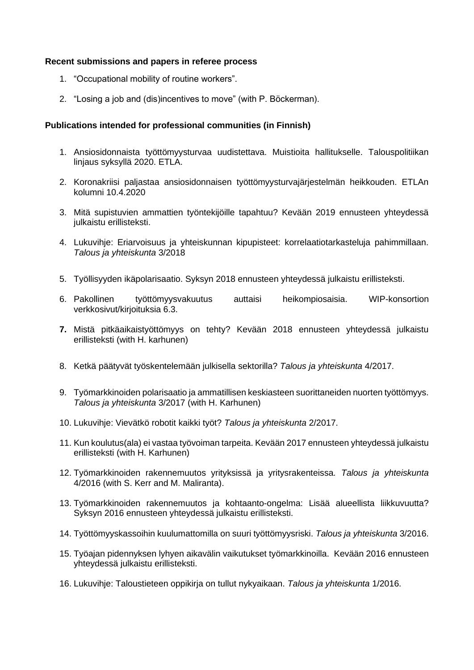### **Recent submissions and papers in referee process**

- 1. "Occupational mobility of routine workers".
- 2. "Losing a job and (dis)incentives to move" (with P. Böckerman).

#### **Publications intended for professional communities (in Finnish)**

- 1. Ansiosidonnaista työttömyysturvaa uudistettava. Muistioita hallitukselle. Talouspolitiikan linjaus syksyllä 2020. ETLA.
- 2. Koronakriisi paljastaa ansiosidonnaisen työttömyysturvajärjestelmän heikkouden. ETLAn kolumni 10.4.2020
- 3. Mitä supistuvien ammattien työntekijöille tapahtuu? Kevään 2019 ennusteen yhteydessä julkaistu erillisteksti.
- 4. Lukuvihje: Eriarvoisuus ja yhteiskunnan kipupisteet: korrelaatiotarkasteluja pahimmillaan. *Talous ja yhteiskunta* 3/2018
- 5. Työllisyyden ikäpolarisaatio. Syksyn 2018 ennusteen yhteydessä julkaistu erillisteksti.
- 6. Pakollinen työttömyysvakuutus auttaisi heikompiosaisia. WIP-konsortion verkkosivut/kirjoituksia 6.3.
- **7.** Mistä pitkäaikaistyöttömyys on tehty? Kevään 2018 ennusteen yhteydessä julkaistu erillisteksti (with H. karhunen)
- 8. Ketkä päätyvät työskentelemään julkisella sektorilla? *Talous ja yhteiskunta* 4/2017.
- 9. Työmarkkinoiden polarisaatio ja ammatillisen keskiasteen suorittaneiden nuorten työttömyys. *Talous ja yhteiskunta* 3/2017 (with H. Karhunen)
- 10. Lukuvihje: Vievätkö robotit kaikki työt? *Talous ja yhteiskunta* 2/2017.
- 11. Kun koulutus(ala) ei vastaa työvoiman tarpeita. Kevään 2017 ennusteen yhteydessä julkaistu erillisteksti (with H. Karhunen)
- 12. Työmarkkinoiden rakennemuutos yrityksissä ja yritysrakenteissa*. Talous ja yhteiskunta* 4/2016 (with S. Kerr and M. Maliranta).
- 13. Työmarkkinoiden rakennemuutos ja kohtaanto-ongelma: Lisää alueellista liikkuvuutta? Syksyn 2016 ennusteen yhteydessä julkaistu erillisteksti.
- 14. Työttömyyskassoihin kuulumattomilla on suuri työttömyysriski. *Talous ja yhteiskunta* 3/2016.
- 15. Työajan pidennyksen lyhyen aikavälin vaikutukset työmarkkinoilla. Kevään 2016 ennusteen yhteydessä julkaistu erillisteksti.
- 16. Lukuvihje: Taloustieteen oppikirja on tullut nykyaikaan. *Talous ja yhteiskunta* 1/2016.